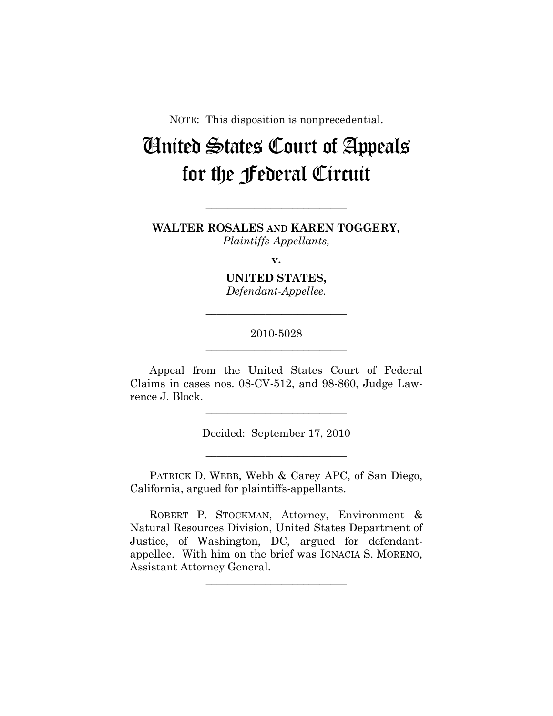NOTE: This disposition is nonprecedential.

# United States Court of Appeals for the Federal Circuit

#### **WALTER ROSALES AND KAREN TOGGERY,**  *Plaintiffs-Appellants,*

**\_\_\_\_\_\_\_\_\_\_\_\_\_\_\_\_\_\_\_\_\_\_\_\_\_\_** 

**v.** 

**UNITED STATES,**  *Defendant-Appellee.* 

### 2010-5028 **\_\_\_\_\_\_\_\_\_\_\_\_\_\_\_\_\_\_\_\_\_\_\_\_\_\_**

**\_\_\_\_\_\_\_\_\_\_\_\_\_\_\_\_\_\_\_\_\_\_\_\_\_\_** 

Appeal from the United States Court of Federal Claims in cases nos. 08-CV-512, and 98-860, Judge Lawrence J. Block.

> Decided: September 17, 2010 **\_\_\_\_\_\_\_\_\_\_\_\_\_\_\_\_\_\_\_\_\_\_\_\_\_\_**

**\_\_\_\_\_\_\_\_\_\_\_\_\_\_\_\_\_\_\_\_\_\_\_\_\_\_** 

PATRICK D. WEBB, Webb & Carey APC, of San Diego, California, argued for plaintiffs-appellants.

ROBERT P. STOCKMAN, Attorney, Environment & Natural Resources Division, United States Department of Justice, of Washington, DC, argued for defendantappellee. With him on the brief was IGNACIA S. MORENO, Assistant Attorney General.

**\_\_\_\_\_\_\_\_\_\_\_\_\_\_\_\_\_\_\_\_\_\_\_\_\_\_**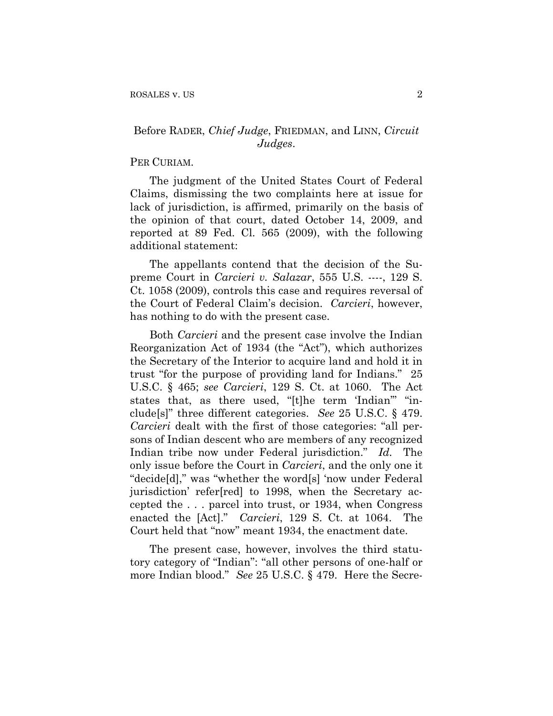## Before RADER, *Chief Judge*, FRIEDMAN, and LINN, *Circuit Judges*.

#### PER CURIAM.

The judgment of the United States Court of Federal Claims, dismissing the two complaints here at issue for lack of jurisdiction, is affirmed, primarily on the basis of the opinion of that court, dated October 14, 2009, and reported at 89 Fed. Cl. 565 (2009), with the following additional statement:

The appellants contend that the decision of the Supreme Court in *Carcieri v. Salazar*, 555 U.S. ----, 129 S. Ct. 1058 (2009), controls this case and requires reversal of the Court of Federal Claim's decision. *Carcieri*, however, has nothing to do with the present case.

Both *Carcieri* and the present case involve the Indian Reorganization Act of 1934 (the "Act"), which authorizes the Secretary of the Interior to acquire land and hold it in trust "for the purpose of providing land for Indians." 25 U.S.C. § 465; *see Carcieri*, 129 S. Ct. at 1060. The Act states that, as there used, "[t]he term 'Indian'" "include[s]" three different categories. *See* 25 U.S.C. § 479. *Carcieri* dealt with the first of those categories: "all persons of Indian descent who are members of any recognized Indian tribe now under Federal jurisdiction." *Id.* The only issue before the Court in *Carcieri*, and the only one it "decide[d]," was "whether the word[s] 'now under Federal jurisdiction' refer[red] to 1998, when the Secretary accepted the . . . parcel into trust, or 1934, when Congress enacted the [Act]." *Carcieri*, 129 S. Ct. at 1064. The Court held that "now" meant 1934, the enactment date.

The present case, however, involves the third statutory category of "Indian": "all other persons of one-half or more Indian blood." *See* 25 U.S.C. § 479. Here the Secre-